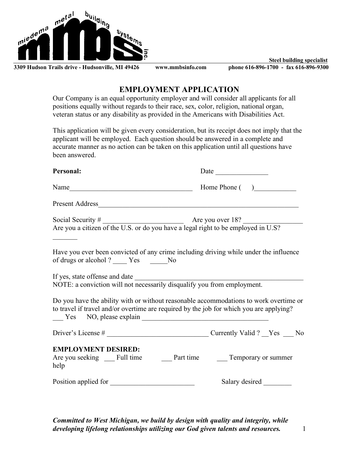

**Steel building specialist**

# **EMPLOYMENT APPLICATION**

Our Company is an equal opportunity employer and will consider all applicants for all positions equally without regards to their race, sex, color, religion, national organ, veteran status or any disability as provided in the Americans with Disabilities Act.

This application will be given every consideration, but its receipt does not imply that the applicant will be employed. Each question should be answered in a complete and accurate manner as no action can be taken on this application until all questions have been answered.

| Personal:                                                                                                                                                                        | Date           |
|----------------------------------------------------------------------------------------------------------------------------------------------------------------------------------|----------------|
| Name                                                                                                                                                                             | Home Phone ()  |
|                                                                                                                                                                                  |                |
| Social Security $\#$ Are you over 18?<br>Are you a citizen of the U.S. or do you have a legal right to be employed in U.S?                                                       |                |
| Have you ever been convicted of any crime including driving while under the influence<br>of drugs or alcohol? ______ Yes _______ No                                              |                |
| If yes, state offense and date<br>NOTE: a conviction will not necessarily disqualify you from employment.                                                                        |                |
| Do you have the ability with or without reasonable accommodations to work overtime or<br>to travel if travel and/or overtime are required by the job for which you are applying? |                |
|                                                                                                                                                                                  |                |
| <b>EMPLOYMENT DESIRED:</b><br>help                                                                                                                                               |                |
| Position applied for                                                                                                                                                             | Salary desired |

*Committed to West Michigan, we build by design with quality and integrity, while developing lifelong relationships utilizing our God given talents and resources.* 1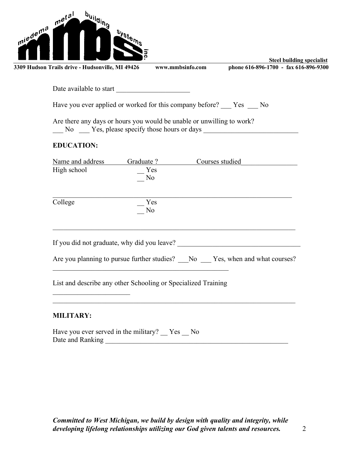| ā<br><b>Steel building specialist</b><br>www.mmbsinfo.com<br>phone 616-896-1700 - fax 616-896-9300<br>3309 Hudson Trails drive - Hudsonville, MI 49426 |
|--------------------------------------------------------------------------------------------------------------------------------------------------------|
| Date available to start                                                                                                                                |
| Have you ever applied or worked for this company before? The No                                                                                        |
| Are there any days or hours you would be unable or unwilling to work?                                                                                  |
| <b>EDUCATION:</b>                                                                                                                                      |
| Name and address<br>Graduate ?<br>Courses studied                                                                                                      |
| High school<br>Yes<br>N <sub>0</sub>                                                                                                                   |
| College<br>Yes<br>N <sub>0</sub>                                                                                                                       |
|                                                                                                                                                        |
| Are you planning to pursue further studies? __No __Yes, when and what courses?                                                                         |
| List and describe any other Schooling or Specialized Training                                                                                          |
| <b>MILITARY:</b>                                                                                                                                       |
| Have you ever served in the military? $\_\ Y$ es $\_\ N$ o                                                                                             |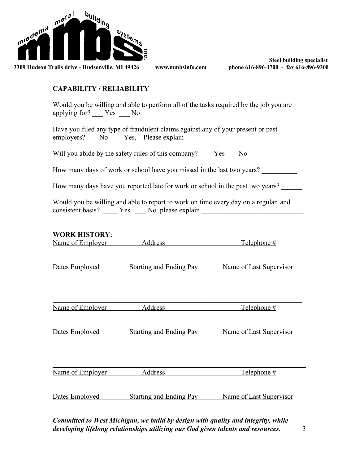

**Steel building specialist**

### **CAPABILITY / RELIABILITY**

Would you be willing and able to perform all of the tasks required by the job you are applying for? \_\_\_ Yes \_\_\_ No

Have you filed any type of fraudulent claims against any of your present or past employers? \_\_\_No \_\_\_Yes, Please explain \_\_\_\_\_\_\_\_\_\_\_\_\_\_\_\_\_\_\_\_\_\_\_\_\_\_\_\_\_\_

Will you abide by the safety rules of this company? Yes No

How many days of work or school have you missed in the last two years?

How many days have you reported late for work or school in the past two years?

Would you be willing and able to report to work on time every day on a regular and consistent basis? \_\_\_\_ Yes \_\_\_ No please explain \_\_\_\_\_\_\_\_\_\_\_\_\_\_\_\_\_\_\_\_\_\_\_\_\_\_\_\_\_\_\_

### **WORK HISTORY:**

| Name of Employer | Address | Telephone # |
|------------------|---------|-------------|
|                  |         |             |

Dates Employed Starting and Ending Pay Name of Last Supervisor

| Name<br><b>Employer</b><br>Ωt |  |
|-------------------------------|--|

Dates Employed Starting and Ending Pay Name of Last Supervisor

| Name of Employer | dress | Telenhone $#$ |
|------------------|-------|---------------|

Dates Employed Starting and Ending Pay Name of Last Supervisor

*Committed to West Michigan, we build by design with quality and integrity, while developing lifelong relationships utilizing our God given talents and resources.* 3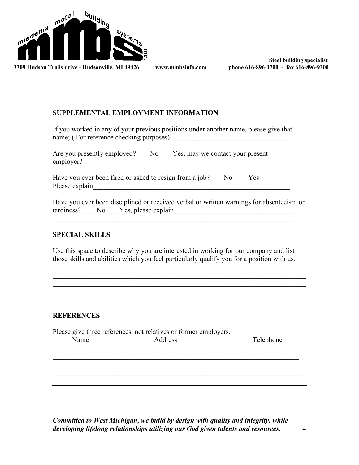

 $\mathcal{L}_\mathcal{L} = \mathcal{L}_\mathcal{L} = \mathcal{L}_\mathcal{L} = \mathcal{L}_\mathcal{L} = \mathcal{L}_\mathcal{L} = \mathcal{L}_\mathcal{L} = \mathcal{L}_\mathcal{L} = \mathcal{L}_\mathcal{L} = \mathcal{L}_\mathcal{L} = \mathcal{L}_\mathcal{L} = \mathcal{L}_\mathcal{L} = \mathcal{L}_\mathcal{L} = \mathcal{L}_\mathcal{L} = \mathcal{L}_\mathcal{L} = \mathcal{L}_\mathcal{L} = \mathcal{L}_\mathcal{L} = \mathcal{L}_\mathcal{L}$ 

**Steel building specialist**

## **SUPPLEMENTAL EMPLOYMENT INFORMATION**

If you worked in any of your previous positions under another name, please give that name; ( For reference checking purposes) \_\_\_\_\_\_\_\_\_\_\_\_\_\_\_\_\_\_\_\_\_\_\_\_\_\_\_\_\_\_\_\_\_

Are you presently employed? \_\_\_ No \_\_\_ Yes, may we contact your present employer?

Have you ever been fired or asked to resign from a job? No Yes Please explain\_\_\_\_\_\_\_\_\_\_\_\_\_\_\_\_\_\_\_\_\_\_\_\_\_\_\_\_\_\_\_\_\_\_\_\_\_\_\_\_\_\_\_\_\_\_\_\_\_\_\_\_\_\_\_\_

Have you ever been disciplined or received verbal or written warnings for absenteeism or tardiness? \_\_\_ No \_\_\_Yes, please explain \_\_\_\_\_\_\_\_\_\_\_\_\_\_\_\_\_\_\_\_\_\_\_\_\_\_\_\_\_\_\_\_\_\_

### **SPECIAL SKILLS**

Use this space to describe why you are interested in working for our company and list those skills and abilities which you feel particularly qualify you for a position with us.

 $\mathcal{L}_\text{max} = \mathcal{L}_\text{max} = \mathcal{L}_\text{max} = \mathcal{L}_\text{max} = \mathcal{L}_\text{max} = \mathcal{L}_\text{max} = \mathcal{L}_\text{max} = \mathcal{L}_\text{max} = \mathcal{L}_\text{max} = \mathcal{L}_\text{max} = \mathcal{L}_\text{max} = \mathcal{L}_\text{max} = \mathcal{L}_\text{max} = \mathcal{L}_\text{max} = \mathcal{L}_\text{max} = \mathcal{L}_\text{max} = \mathcal{L}_\text{max} = \mathcal{L}_\text{max} = \mathcal{$  $\mathcal{L}_\text{max} = \mathcal{L}_\text{max} = \mathcal{L}_\text{max} = \mathcal{L}_\text{max} = \mathcal{L}_\text{max} = \mathcal{L}_\text{max} = \mathcal{L}_\text{max} = \mathcal{L}_\text{max} = \mathcal{L}_\text{max} = \mathcal{L}_\text{max} = \mathcal{L}_\text{max} = \mathcal{L}_\text{max} = \mathcal{L}_\text{max} = \mathcal{L}_\text{max} = \mathcal{L}_\text{max} = \mathcal{L}_\text{max} = \mathcal{L}_\text{max} = \mathcal{L}_\text{max} = \mathcal{$ 

### **REFERENCES**

Please give three references, not relatives or former employers. Name Address Telephone

 $\mathcal{L}_\text{max}$  and  $\mathcal{L}_\text{max}$  and  $\mathcal{L}_\text{max}$  and  $\mathcal{L}_\text{max}$  and  $\mathcal{L}_\text{max}$  and  $\mathcal{L}_\text{max}$ 

 $\_$  , and the contribution of the contribution of  $\mathcal{L}_\mathcal{A}$  , and the contribution of  $\mathcal{L}_\mathcal{A}$ 

*Committed to West Michigan, we build by design with quality and integrity, while developing lifelong relationships utilizing our God given talents and resources.* 4